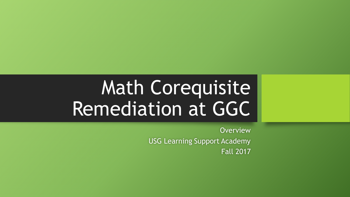# Math Corequisite Remediation at GGC

**Overview** USG Learning Support Academy Fall 2017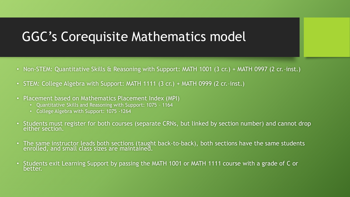# GGC's Corequisite Mathematics model

- Non-STEM: Quantitative Skills & Reasoning with Support: MATH 1001 (3 cr.) + MATH 0997 (2 cr.-inst.)
- STEM: College Algebra with Support: MATH 1111 (3 cr.) + MATH 0999 (2 cr.-inst.)
- Placement based on Mathematics Placement Index (MPI)
	- Quantitative Skills and Reasoning with Support: 1075 1164
	- College Algebra with Support: 1075 -1264
- Students must register for both courses (separate CRNs, but linked by section number) and cannot drop either section.
- The same instructor leads both sections (taught back-to-back), both sections have the same students enrolled, and small class sizes are maintained.
- Students exit Learning Support by passing the MATH 1001 or MATH 1111 course with a grade of C or better.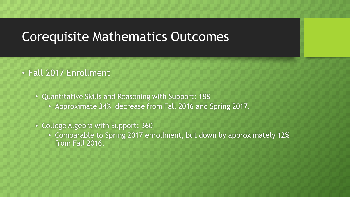#### Corequisite Mathematics Outcomes

#### • Fall 2017 Enrollment

- Quantitative Skills and Reasoning with Support: 188
	- Approximate 34% decrease from Fall 2016 and Spring 2017.
- College Algebra with Support: 360
	- Comparable to Spring 2017 enrollment, but down by approximately 12% from Fall 2016.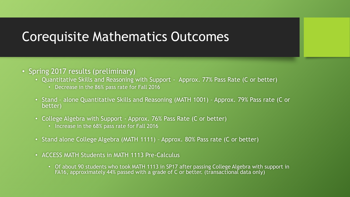#### Corequisite Mathematics Outcomes

- Spring 2017 results (preliminary)
	- Quantitative Skills and Reasoning with Support Approx. 77% Pass Rate (C or better)
		- Decrease in the 86% pass rate for Fall 2016
	- Stand alone Quantitative Skills and Reasoning (MATH 1001) Approx. 79% Pass rate (C or better)
	- College Algebra with Support Approx. 76% Pass Rate (C or better)
		- Increase in the 68% pass rate for Fall 2016
	- Stand alone College Algebra (MATH 1111) Approx. 80% Pass rate (C or better)
	- ACCESS MATH Students in MATH 1113 Pre-Calculus
		- Of about 90 students who took MATH 1113 in SP17 after passing College Algebra with support in FA16, approximately 44% passed with a grade of C or better. (transactional data only)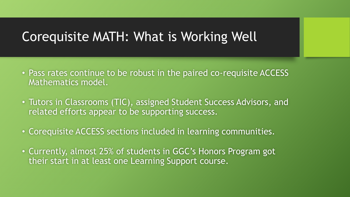### Corequisite MATH: What is Working Well

- Pass rates continue to be robust in the paired co-requisite ACCESS Mathematics model.
- Tutors in Classrooms (TIC), assigned Student Success Advisors, and related efforts appear to be supporting success.
- Corequisite ACCESS sections included in learning communities.
- Currently, almost 25% of students in GGC's Honors Program got their start in at least one Learning Support course.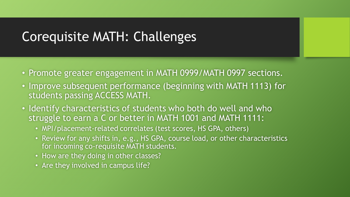# Corequisite MATH: Challenges

- Promote greater engagement in MATH 0999/MATH 0997 sections.
- Improve subsequent performance (beginning with MATH 1113) for students passing ACCESS MATH.
- Identify characteristics of students who both do well and who struggle to earn a C or better in MATH 1001 and MATH 1111:
	- MPI/placement-related correlates (test scores, HS GPA, others)
	- Review for any shifts in, e.g., HS GPA, course load, or other characteristics for incoming co-requisite MATH students.
	- How are they doing in other classes?
	- Are they involved in campus life?